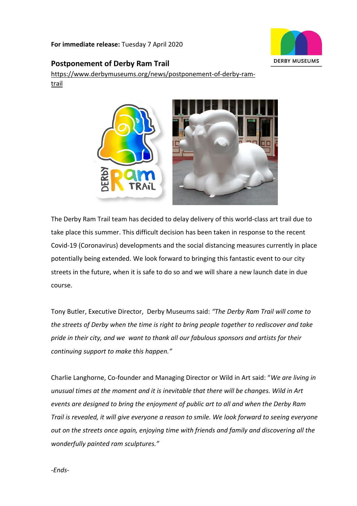**For immediate release:** Tuesday 7 April 2020



# **Postponement of Derby Ram Trail**

[https://www.derbymuseums.org/news/postponement-of-derby-ram](https://www.derbymuseums.org/news/postponement-of-derby-ram-trail)[trail](https://www.derbymuseums.org/news/postponement-of-derby-ram-trail)



The Derby Ram Trail team has decided to delay delivery of this world-class art trail due to take place this summer. This difficult decision has been taken in response to the recent Covid-19 (Coronavirus) developments and the social distancing measures currently in place potentially being extended. We look forward to bringing this fantastic event to our city streets in the future, when it is safe to do so and we will share a new launch date in due course.

Tony Butler, Executive Director, Derby Museums said: *"The Derby Ram Trail will come to the streets of Derby when the time is right to bring people together to rediscover and take pride in their city, and we want to thank all our fabulous sponsors and artists for their continuing support to make this happen."*

Charlie Langhorne, Co-founder and Managing Director or Wild in Art said: "*We are living in unusual times at the moment and it is inevitable that there will be changes. Wild in Art events are designed to bring the enjoyment of public art to all and when the Derby Ram Trail is revealed, it will give everyone a reason to smile. We look forward to seeing everyone out on the streets once again, enjoying time with friends and family and discovering all the wonderfully painted ram sculptures."*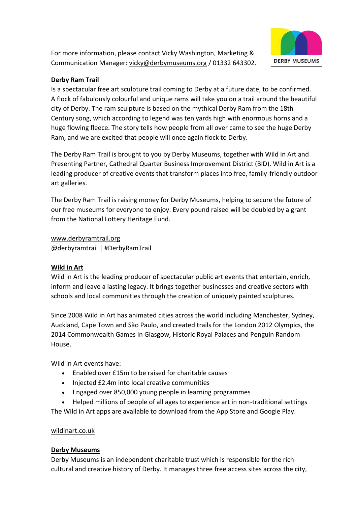For more information, please contact Vicky Washington, Marketing & Communication Manager: [vicky@derbymuseums.org](mailto:vicky@derbymuseums.org) / 01332 643302.



## **[Derby Ram Trail](https://www.derbyramtrail.org/)**

Is a spectacular free art sculpture trail coming to Derby at a future date, to be confirmed. A flock of fabulously colourful and unique rams will take you on a trail around the beautiful city of Derby. The ram sculpture is based on the mythical Derby Ram from the 18th Century song, which according to legend was ten yards high with enormous horns and a huge flowing fleece. The story tells how people from all over came to see the huge Derby Ram, and we are excited that people will once again flock to Derby.

The Derby Ram Trail is brought to you by Derby Museums, together with Wild in Art and Presenting Partner, Cathedral Quarter Business Improvement District (BID). Wild in Art is a leading producer of creative events that transform places into free, family-friendly outdoor art galleries.

The Derby Ram Trail is raising money for Derby Museums, helping to secure the future of our free museums for everyone to enjoy. Every pound raised will be doubled by a grant from the National Lottery Heritage Fund.

[www.derbyramtrail.org](http://www.derbyramtrail.org/) @derbyramtrail | #DerbyRamTrail

## **Wild in Art**

Wild in Art is the leading producer of spectacular public art events that entertain, enrich, inform and leave a lasting legacy. It brings together businesses and creative sectors with schools and local communities through the creation of uniquely painted sculptures.

Since 2008 Wild in Art has animated cities across the world including Manchester, Sydney, Auckland, Cape Town and São Paulo, and created trails for the London 2012 Olympics, the 2014 Commonwealth Games in Glasgow, Historic Royal Palaces and Penguin Random House.

Wild in Art events have:

- Enabled over £15m to be raised for charitable causes
- Injected £2.4m into local creative communities
- Engaged over 850,000 young people in learning programmes
- Helped millions of people of all ages to experience art in non-traditional settings

The Wild in Art apps are available to download from the App Store and Google Play.

## [wildinart.co.uk](https://www.wildinart.co.uk/)

#### **[Derby Museums](https://www.derbymuseums.org/)**

Derby Museums is an independent charitable trust which is responsible for the rich cultural and creative history of Derby. It manages three free access sites across the city,